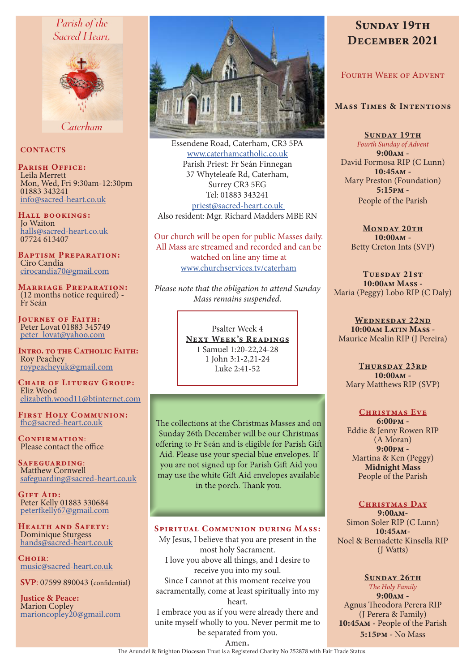# Parish of the Sacred Heart.



Caterham

#### **CONTACTS**

PARISH OFFICE: Leila Merrett Mon, Wed, Fri 9:30am-12:30pm 01883 343241 info@sacred-heart.co.uk

Hall bookings: Jo Waiton halls@sacred-heart.co.uk 07724 613407

Baptism Preparation: Ciro Candia cirocandia70@gmail.com

Marriage Preparation: (12 months notice required) - Fr Seán

Journey of Faith: Peter Lovat 01883 345749 peter\_lovat@yahoo.com

INTRO. TO THE CATHOLIC FAITH: Roy Peachey roypeacheyuk@gmail.com

CHAIR OF LITURGY GROUP: Eliz Wood elizabeth.wood11@btinternet.com

First Holy Communion: fhc@sacred-heart.co.uk

CONFIRMATION: Please contact the office

Safeguarding: Matthew Cornwell safeguarding@sacred-heart.co.uk

GIFT AID: Peter Kelly 01883 330684 peterfkelly67@gmail.com

Health and Safety: Dominique Sturgess hands@sacred-heart.co.uk

Choir<sup>.</sup> music@sacred-heart.co.uk

SVP: 07599 890043 (confidential)

Justice & Peace: Marion Copley marioncopley20@gmail.com



Essendene Road, Caterham, CR3 5PA www.caterhamcatholic.co.uk Parish Priest: Fr Seán Finnegan 37 Whyteleafe Rd, Caterham, Surrey CR3 5EG Tel: 01883 343241 priest@sacred-heart.co.uk Also resident: Mgr. Richard Madders MBE RN

Our church will be open for public Masses daily. All Mass are streamed and recorded and can be watched on line any time at www.churchservices.tv/caterham

*Please note that the obligation to attend Sunday Mass remains suspended.*

> Psalter Week 4 NEXT WEEK'S READINGS 1 Samuel 1:20-22,24-28 1 John 3:1-2,21-24 Luke 2:41-52

The collections at the Christmas Masses and on Sunday 26th December will be our Christmas offering to Fr Seán and is eligible for Parish Gift Aid. Please use your special blue envelopes. If you are not signed up for Parish Gift Aid you may use the white Gift Aid envelopes available in the porch. Thank you.

#### Spiritual Communion during Mass:

My Jesus, I believe that you are present in the most holy Sacrament. I love you above all things, and I desire to receive you into my soul. Since I cannot at this moment receive you sacramentally, come at least spiritually into my heart.

I embrace you as if you were already there and unite myself wholly to you. Never permit me to be separated from you.

# SUNDAY 19TH DECEMBER 2021

# FOURTH WEEK OF ADVENT

#### Mass Times & Intentions

SUNDAY 19TH

*Fourth Sunday of Advent* 9:00am - David Formosa RIP (C Lunn) 10:45am - Mary Preston (Foundation) 5:15pm - People of the Parish

MONDAY 20TH 10:00am - Betty Creton Ints (SVP)

TUESDAY 21ST 10:00am Mass - Maria (Peggy) Lobo RIP (C Daly)

WEDNESDAY 22ND 10:00am Latin Mass -Maurice Mealin RIP (J Pereira)

Thursday 23rd 10:00am - Mary Matthews RIP (SVP)

#### CHRISTMAS EVE

6:00pm - Eddie & Jenny Rowen RIP (A Moran) 9:00pm - Martina & Ken (Peggy) Midnight Mass People of the Parish

#### CHRISTMAS DAY

9:00am-Simon Soler RIP (C Lunn) 10:45am-Noel & Bernadette Kinsella RIP (J Watts)

SUNDAY 26TH *The Holy Family*  $9:00AM -$ Agnus Theodora Perera RIP (J Perera & Family) 10:45am - People of the Parish 5:15pm - No Mass

Amen.